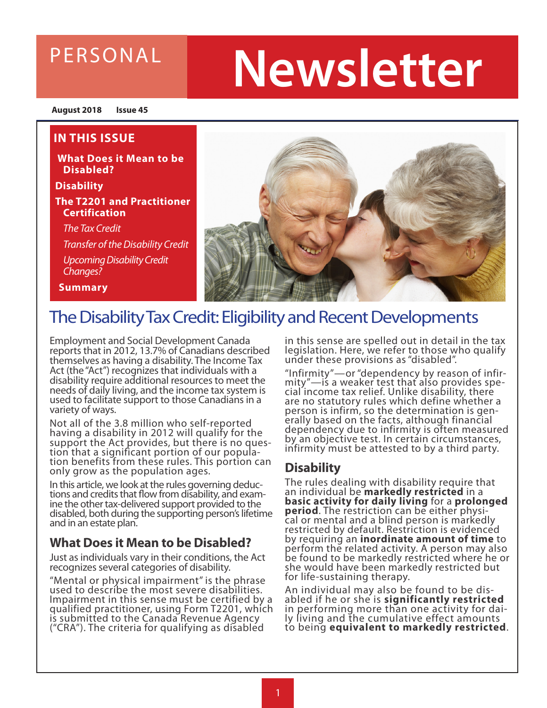### PERSONAL

# **Newsletter**

**August 2018 Issue 45**

#### **IN THIS ISSUE**

**What Does it Mean to be Disabled?**

**Disability**

**The T2201 and Practitioner Certification**

 *The Tax Credit*

 *Transfer of the Disability Credit Upcoming Disability Credit Changes?* 

**Summary**



### The Disability Tax Credit: Eligibility and Recent Developments

Employment and Social Development Canada reports that in 2012, 13.7% of Canadians described themselves as having a disability. The Income Tax Act (the "Act") recognizes that individuals with a disability require additional resources to meet the needs of daily living, and the income tax system is used to facilitate support to those Canadians in a variety of ways.

Not all of the 3.8 million who self-reported having a disability in 2012 will qualify for the support the Act provides, but there is no ques-<br>tion that a significant portion of our popula-<br>tion benefits from these rules. This portion can tion benefits from these rules. This portion can<br>only grow as the population ages.

In this article, we look at the rules governing deduc- tions and credits that flow from disability, and exam- ine the other tax-delivered support provided to the disabled, both during the supporting person's lifetime and in an estate plan.

### **What Does it Mean to be Disabled?**

Just as individuals vary in their conditions, the Act recognizes several categories of disability.

"Mental or physical impairment" is the phrase used to describe the most severe disabilities. Impairment in this sense must be certified by a qualified practitioner, using Form T2201, which is submitted to the Canada Revenue Agency ("CRA"). The criteria for qualifying as disabled

in this sense are spelled out in detail in the tax legislation. Here, we refer to those who qualify under these provisions as "disabled".

"Infirmity"—or "dependency by reason of infir- mity"—is a weaker test that also provides spe- cial income tax relief. Unlike disability, there are no statutory rules which define whether a person is infirm, so the determination is gen- erally based on the facts, although financial dependency due to infirmity is often measured by an objective test. In certain circumstances, infirmity must be attested to by a third party.

### **Disability**

The rules dealing with disability require that an individual be **markedly restricted** in a **basic activity for daily living** for a **prolonged period**. The restriction can be either physi- cal or mental and a blind person is markedly restricted by default. Restriction is evidenced by requiring an **inordinate amount of time** to perform the related activity. A person may also be found to be markedly restricted where he or she would have been markedly restricted but for life-sustaining therapy.

An individual may also be found to be dis-<br>abled if he or she is **significantly restricted**<br>in performing more than one activity for dai-<br>ly living and the cumulative effect amounts to being **equivalent to markedly restricted**.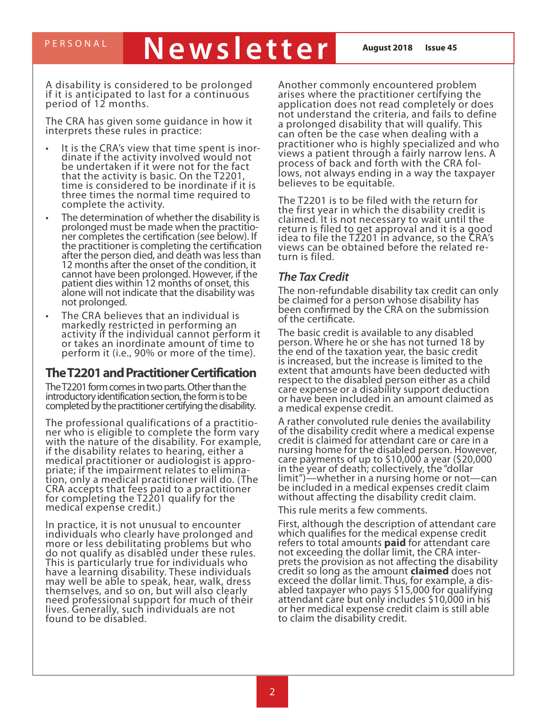# PERSONAL **Newsletter August 2018** Issue 45

A disability is considered to be prolonged if it is anticipated to last for a continuous period of 12 months.

The CRA has given some guidance in how it interprets these rules in practice:

- It is the CRA's view that time spent is inor-<br>dinate if the activity involved would not be undertaken if it were not for the fact that the activity is basic. On the T2201, time is considered to be inordinate if it is three times the normal time required to complete the activity.
- The determination of whether the disability is<br>prolonged must be made when the practitioner completes the certification (see below). If the practitioner is completing the certification after the person died, and death was less than 12 months after the onset of the condition, it cannot have been prolonged. However, if the patient dies within 12 months of onset, this alone will not indicate that the disability was not prolonged.
- The CRA believes that an individual is markedly restricted in performing an activity if the individual cannot perform it or takes an inordinate amount of time to perform it (i.e., 90% or more of the time).

#### **The T2201 and Practitioner Certification**

The T2201 form comes in two parts. Other than the introductory identification section, the form is to be completed by the practitioner certifying the disability.

The professional qualifications of a practitio- ner who is eligible to complete the form vary with the nature of the disability. For example, if the disability relates to hearing, either a<br>medical practitioner or audiologist is appropriate; if the impairment relates to elimina-<br>tion, only a medical practitioner will do. (The CRA accepts that fees paid to a practitioner for completing the T2201 qualify for the medical expense credit.)

In practice, it is not unusual to encounter individuals who clearly have prolonged and more or less debilitating problems but who do not qualify as disabled under these rules. This is particularly true for individuals who have a learning disability. These individuals may well be able to speak, hear, walk, dress themselves, and so on, but will also clearly need professional support for much of their lives. Generally, such individuals are not found to be disabled.

Another commonly encountered problem arises where the practitioner certifying the application does not read completely or does not understand the criteria, and fails to define a prolonged disability that will qualify. This can often be the case when dealing with a practitioner who is highly specialized and who views a patient through a fairly narrow lens. A process of back and forth with the CRA fol-<br>lows, not always ending in a way the taxpayer believes to be equitable.

The T2201 is to be filed with the return for the first year in which the disability credit is claimed. It is not necessary to wait until the return is filed to get approval and it is a good idea to file the T2201 in advance, so the CRA's views can be obtained before the related re- turn is filed.

#### *The Tax Credit*

The non-refundable disability tax credit can only be claimed for a person whose disability has been confirmed by the CRA on the submission of the certificate.

The basic credit is available to any disabled person. Where he or she has not turned 18 by the end of the taxation year, the basic credit is increased, but the increase is limited to the extent that amounts have been deducted with respect to the disabled person either as a child care expense or a disability support deduction or have been included in an amount claimed as a medical expense credit.

A rather convoluted rule denies the availability of the disability credit where a medical expense credit is claimed for attendant care or care in a nursing home for the disabled person. However, care payments of up to \$10,000 a year (\$20,000 in the year of death; collectively, the "dollar limit")—whether in a nursing home or not—can be included in a medical expenses credit claim without affecting the disability credit claim.

This rule merits a few comments.

First, although the description of attendant care which qualifies for the medical expense credit refers to total amounts **paid** for attendant care prets the provision as not affecting the disability credit so long as the amount **claimed** does not abled taxpayer who pays \$15,000 for qualifying attendant care but only includes \$10,000 in his or her medical expense credit claim is still able to claim the disability credit.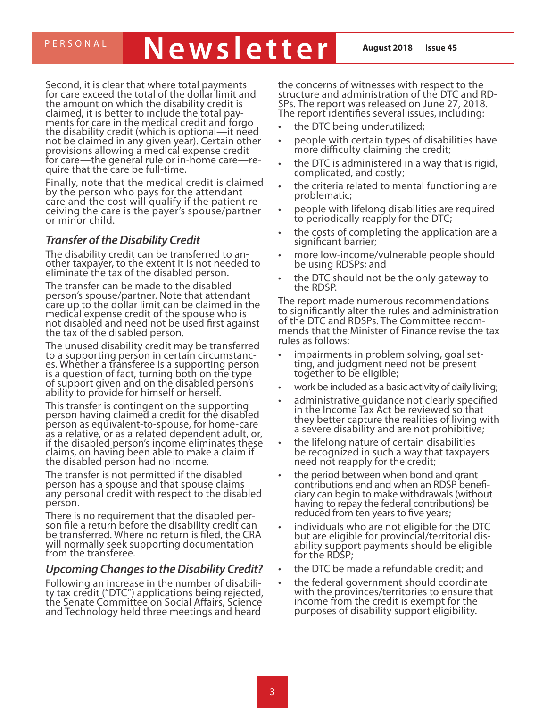# PERSONAL **Newsletter August 2018** Issue 45

Second, it is clear that where total payments for care exceed the total of the dollar limit and the amount on which the disability credit is<br>claimed, it is better to include the total payments for care in the medical credit and forgo the disability credit (which is optional—it need not be claimed in any given year). Certain other provisions allowing a medical expense credit for care—the general rule or in-home care—re-<br>quire that the care be full-time.

Finally, note that the medical credit is claimed by the person who pays for the attendant cáre and the cost will qualify if the patient re-<br>ceiving the care is the payer's spouse/partner ceiving the care is the payer's spouse/partner<br>or minor child.

#### *Transfer of the Disability Credit*

The disability credit can be transferred to an- other taxpayer, to the extent it is not needed to eliminate the tax of the disabled person.

The transfer can be made to the disabled person's spouse/partner. Note that attendant care up to the dollar limit can be claimed in the medical expense credit of the spouse who is not disabled and need not be used first against the tax of the disabled person.

The unused disability credit may be transferred es. Whether a transferee is a supporting person is a question of fact, turning both on the type of support given and on the disabled person's ability to provide for himself or herself.

This transfer is contingent on the supporting person having claimed a credit for the disabled person as equivalent-to-spouse, for home-care as a relative, or as a related dependent adult, or, if the disabled person's income eliminates these claims, on having been able to make a claim if the disabled person had no income.

The transfer is not permitted if the disabled person has a spouse and that spouse claims any personal credit with respect to the disabled person.

There is no requirement that the disabled per-<br>son file a return before the disability credit can be transferred. Where no return is filed, the CRA will normally seek supporting documentation from the transferee.

#### *Upcoming Changes to the Disability Credit?*

Following an increase in the number of disabili-<br>ty tax credit ("DTC") applications being rejected, the Senate Committee on Social Affairs, Science and Technology held three meetings and heard

the concerns of witnesses with respect to the structure and administration of the DTC and RD- SPs. The report was released on June 27, 2018. The report identifies several issues, including:

- the DTC being underutilized;
- people with certain types of disabilities have more difficulty claiming the credit;
- the DTC is administered in a way that is rigid, complicated, and costly;
- the criteria related to mental functioning are problematic;
- people with lifelong disabilities are required to periodically reapply for the DTC;
- the costs of completing the application are a significant barrier;
- more low-income/vulnerable people should be using RDSPs; and
- the DTC should not be the only gateway to the RDSP.

The report made numerous recommendations to significantly alter the rules and administration mends that the Minister of Finance revise the tax rules as follows:

- impairments in problem solving, goal set-<br>ting, and judgment need not be present together to be eligible;
- work be included as a basic activity of daily living;
- administrative quidance not clearly specified in the Income Tax Act be reviewed so that they better capture the realities of living with a severe disability and are not prohibitive;
- the lifelong nature of certain disabilities be recognized in such a way that taxpayers need not reapply for the credit;
- the period between when bond and grant contributions end and when an RDSP benefi- ciary can begin to make withdrawals (without having to repay the federal contributions) be reduced from ten years to five years;
- individuals who are not eligible for the DTC but are eligible for provincial/territorial dis- ability support payments should be eligible for the RDSP;
- the DTC be made a refundable credit; and
- the federal government should coordinate with the provinces/territories to ensure that income from the credit is exempt for the purposes of disability support eligibility.